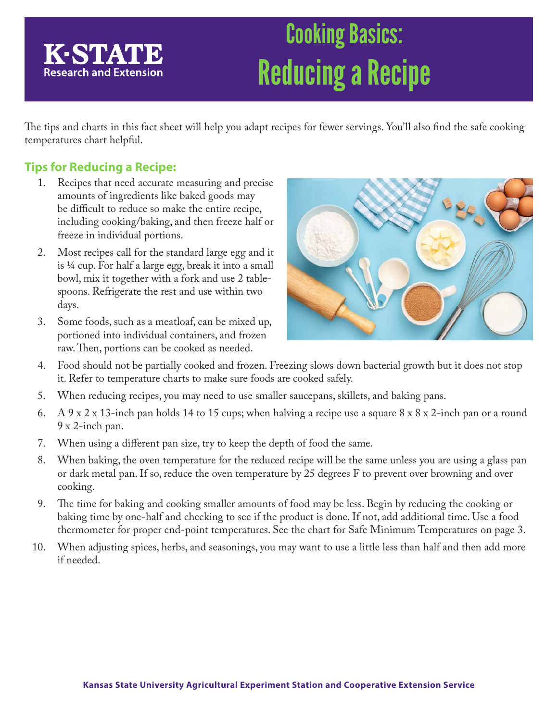# Cooking Basics: Reducing a Recipe

The tips and charts in this fact sheet will help you adapt recipes for fewer servings. You'll also find the safe cooking temperatures chart helpful.

### **Tips for Reducing a Recipe:**

K-STATE

**Research and Extension** 

- 1. Recipes that need accurate measuring and precise amounts of ingredients like baked goods may be difficult to reduce so make the entire recipe, including cooking/baking, and then freeze half or freeze in individual portions.
- 2. Most recipes call for the standard large egg and it is ¼ cup. For half a large egg, break it into a small bowl, mix it together with a fork and use 2 tablespoons. Refrigerate the rest and use within two days.
- 3. Some foods, such as a meatloaf, can be mixed up, portioned into individual containers, and frozen raw. Then, portions can be cooked as needed.



- 4. Food should not be partially cooked and frozen. Freezing slows down bacterial growth but it does not stop it. Refer to temperature charts to make sure foods are cooked safely.
- 5. When reducing recipes, you may need to use smaller saucepans, skillets, and baking pans.
- 6. A 9 x 2 x 13-inch pan holds 14 to 15 cups; when halving a recipe use a square 8 x 8 x 2-inch pan or a round 9 x 2-inch pan.
- 7. When using a different pan size, try to keep the depth of food the same.
- 8. When baking, the oven temperature for the reduced recipe will be the same unless you are using a glass pan or dark metal pan. If so, reduce the oven temperature by 25 degrees F to prevent over browning and over cooking.
- 9. The time for baking and cooking smaller amounts of food may be less. Begin by reducing the cooking or baking time by one-half and checking to see if the product is done. If not, add additional time. Use a food thermometer for proper end-point temperatures. See the chart for Safe Minimum Temperatures on page 3.
- 10. When adjusting spices, herbs, and seasonings, you may want to use a little less than half and then add more if needed.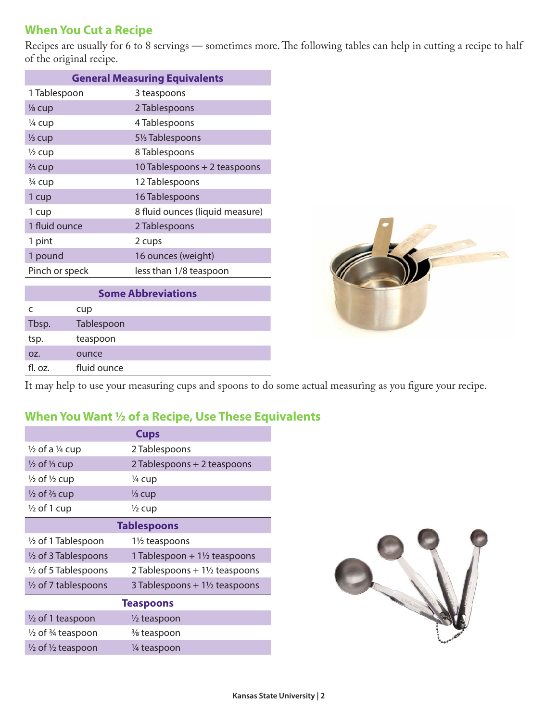#### **When You Cut a Recipe**

Recipes are usually for 6 to 8 servings — sometimes more. The following tables can help in cutting a recipe to half of the original recipe.

| <b>General Measuring Equivalents</b> |                                 |  |  |
|--------------------------------------|---------------------------------|--|--|
| 1 Tablespoon                         | 3 teaspoons                     |  |  |
| $\frac{1}{8}$ cup                    | 2 Tablespoons                   |  |  |
| 1/4 cup                              | 4 Tablespoons                   |  |  |
| $\frac{1}{3}$ cup                    | 51/ <sub>3</sub> Tablespoons    |  |  |
| $\frac{1}{2}$ cup                    | 8 Tablespoons                   |  |  |
| $\frac{2}{3}$ cup                    | 10 Tablespoons + 2 teaspoons    |  |  |
| 3/4 cup                              | 12 Tablespoons                  |  |  |
| 1 cup                                | 16 Tablespoons                  |  |  |
| 1 cup                                | 8 fluid ounces (liquid measure) |  |  |
| 1 fluid ounce                        | 2 Tablespoons                   |  |  |
| 1 pint                               | 2 cups                          |  |  |
| 1 pound                              | 16 ounces (weight)              |  |  |
| Pinch or speck                       | less than 1/8 teaspoon          |  |  |

| <b>Some Abbreviations</b> |             |  |  |  |
|---------------------------|-------------|--|--|--|
|                           | cup         |  |  |  |
| Tbsp.                     | Tablespoon  |  |  |  |
| tsp.                      | teaspoon    |  |  |  |
| OZ.                       | ounce       |  |  |  |
| fl. oz.                   | fluid ounce |  |  |  |



It may help to use your measuring cups and spoons to do some actual measuring as you figure your recipe.

#### **When You Want ½ of a Recipe, Use These Equivalents**

| <b>Cups</b>                             |                                          |  |  |  |
|-----------------------------------------|------------------------------------------|--|--|--|
| $\frac{1}{2}$ of a $\frac{1}{4}$ cup    | 2 Tablespoons                            |  |  |  |
| $\frac{1}{2}$ of $\frac{1}{3}$ cup      | 2 Tablespoons + 2 teaspoons              |  |  |  |
| $\frac{1}{2}$ of $\frac{1}{2}$ cup      | 1/4 cup                                  |  |  |  |
| $\frac{1}{2}$ of $\frac{2}{3}$ cup      | $\frac{1}{3}$ cup                        |  |  |  |
| $\frac{1}{2}$ of 1 cup                  | $\frac{1}{2}$ cup                        |  |  |  |
| <b>Tablespoons</b>                      |                                          |  |  |  |
| 1/2 of 1 Tablespoon                     | $1\frac{1}{2}$ teaspoons                 |  |  |  |
| $\frac{1}{2}$ of 3 Tablespoons          | 1 Tablespoon + $1\frac{1}{2}$ teaspoons  |  |  |  |
| $\frac{1}{2}$ of 5 Tablespoons          | 2 Tablespoons + $1\frac{1}{2}$ teaspoons |  |  |  |
| $\frac{1}{2}$ of 7 tablespoons          | 3 Tablespoons $+1\frac{1}{2}$ teaspoons  |  |  |  |
| <b>Teaspoons</b>                        |                                          |  |  |  |
| 1/2 of 1 teaspoon                       | $\frac{1}{2}$ teaspoon                   |  |  |  |
| $\frac{1}{2}$ of $\frac{3}{4}$ teaspoon | % teaspoon                               |  |  |  |
| $\frac{1}{2}$ of $\frac{1}{2}$ teaspoon | 1/4 teaspoon                             |  |  |  |
|                                         |                                          |  |  |  |

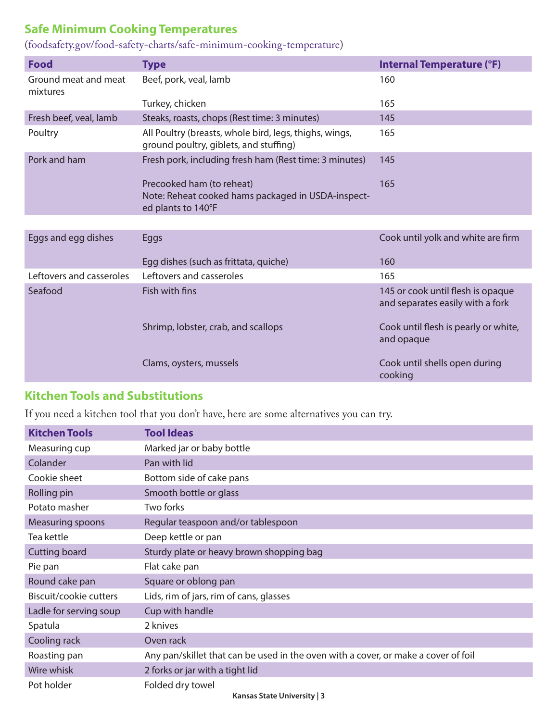## **Safe Minimum Cooking Temperatures**

(foodsafety.gov/food-safety-charts/safe-minimum-cooking-temperature)

| <b>Food</b>                      | <b>Type</b>                                                                                           | <b>Internal Temperature (°F)</b>                                      |
|----------------------------------|-------------------------------------------------------------------------------------------------------|-----------------------------------------------------------------------|
| Ground meat and meat<br>mixtures | Beef, pork, veal, lamb                                                                                | 160                                                                   |
|                                  | Turkey, chicken                                                                                       | 165                                                                   |
| Fresh beef, veal, lamb           | Steaks, roasts, chops (Rest time: 3 minutes)                                                          | 145                                                                   |
| Poultry                          | All Poultry (breasts, whole bird, legs, thighs, wings,<br>ground poultry, giblets, and stuffing)      | 165                                                                   |
| Pork and ham                     | Fresh pork, including fresh ham (Rest time: 3 minutes)                                                | 145                                                                   |
|                                  | Precooked ham (to reheat)<br>Note: Reheat cooked hams packaged in USDA-inspect-<br>ed plants to 140°F | 165                                                                   |
|                                  |                                                                                                       |                                                                       |
| Eggs and egg dishes              | <b>Eggs</b>                                                                                           | Cook until yolk and white are firm                                    |
|                                  | Egg dishes (such as frittata, quiche)                                                                 | 160                                                                   |
| Leftovers and casseroles         | Leftovers and casseroles                                                                              | 165                                                                   |
| Seafood                          | Fish with fins                                                                                        | 145 or cook until flesh is opaque<br>and separates easily with a fork |
|                                  | Shrimp, lobster, crab, and scallops                                                                   | Cook until flesh is pearly or white,<br>and opaque                    |
|                                  | Clams, oysters, mussels                                                                               | Cook until shells open during<br>cooking                              |

#### **Kitchen Tools and Substitutions**

If you need a kitchen tool that you don't have, here are some alternatives you can try.

| <b>Kitchen Tools</b>   | <b>Tool Ideas</b>                                                                  |
|------------------------|------------------------------------------------------------------------------------|
| Measuring cup          | Marked jar or baby bottle                                                          |
| Colander               | Pan with lid                                                                       |
| Cookie sheet           | Bottom side of cake pans                                                           |
| Rolling pin            | Smooth bottle or glass                                                             |
| Potato masher          | Two forks                                                                          |
| Measuring spoons       | Regular teaspoon and/or tablespoon                                                 |
| Tea kettle             | Deep kettle or pan                                                                 |
| <b>Cutting board</b>   | Sturdy plate or heavy brown shopping bag                                           |
| Pie pan                | Flat cake pan                                                                      |
| Round cake pan         | Square or oblong pan                                                               |
| Biscuit/cookie cutters | Lids, rim of jars, rim of cans, glasses                                            |
| Ladle for serving soup | Cup with handle                                                                    |
| Spatula                | 2 knives                                                                           |
| Cooling rack           | Oven rack                                                                          |
| Roasting pan           | Any pan/skillet that can be used in the oven with a cover, or make a cover of foil |
| Wire whisk             | 2 forks or jar with a tight lid                                                    |
| Pot holder             | Folded dry towel<br>Kancar Ctato University   2                                    |